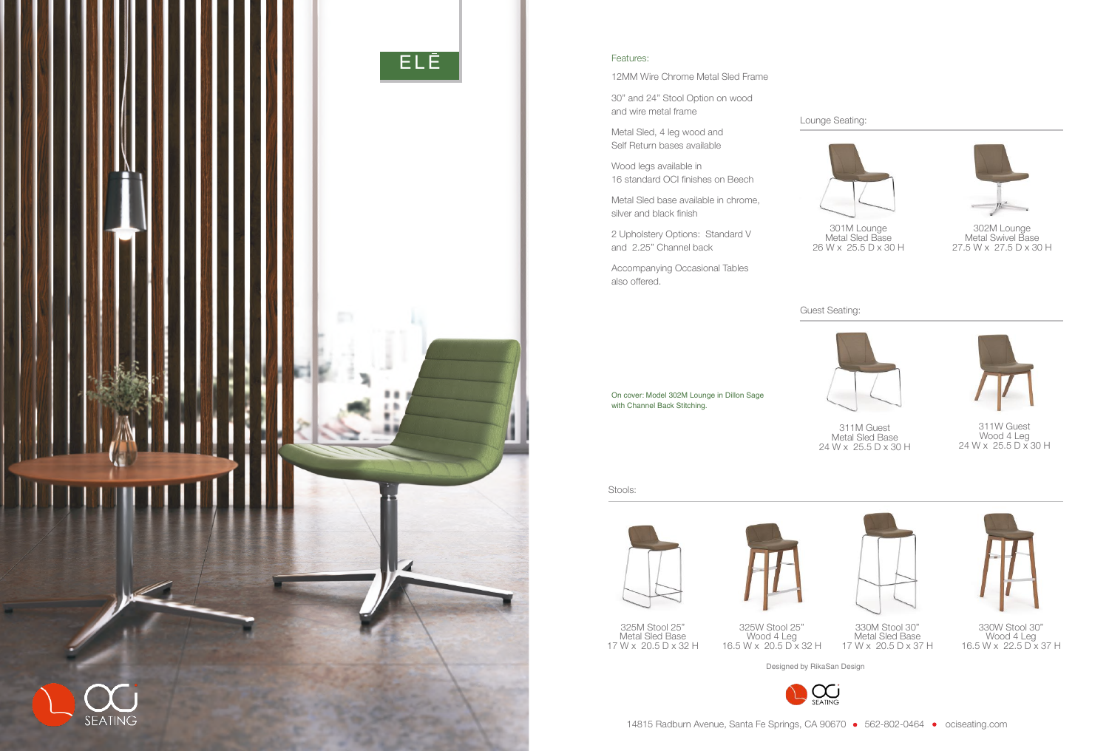

Designed by RikaSan Design



14815 Radburn Avenue, Santa Fe Springs, CA 90670 • 562-802-0464 • ociseating.com

Stools:





311M Guest Metal Sled Base 24 W x 25.5 D x 30 H



311W Guest Wood 4 Leg 24 W x 25.5 D x 30 H



301M Lounge Metal Sled Base 26 W x 25.5 D x 30 H



302M Lounge Metal Swivel Base 27.5 W x 27.5 D x 30 H



330W Stool 30" Wood 4 Leg 16.5 W x 22.5 D x 37 H



330M Stool 30" Metal Sled Base 17 W x 20.5 D x 37 H

325W Stool 25" Wood 4 Leg 16.5 W x 20.5 D x 32 H

325M Stool 25" Metal Sled Base 17 W x 20.5 D x 32 H

## Lounge Seating:

Guest Seating:



On cover: Model 302M Lounge in Dillon Sage with Channel Back Stitching.

## Features:

12MM Wire Chrome Metal Sled Frame

30" and 24" Stool Option on wood and wire metal frame

Metal Sled, 4 leg wood and Self Return bases available

Wood legs available in 16 standard OCI finishes on Beech

Metal Sled base available in chrome, silver and black finish

2 Upholstery Options: Standard V and 2.25" Channel back

Accompanying Occasional Tables also offered.